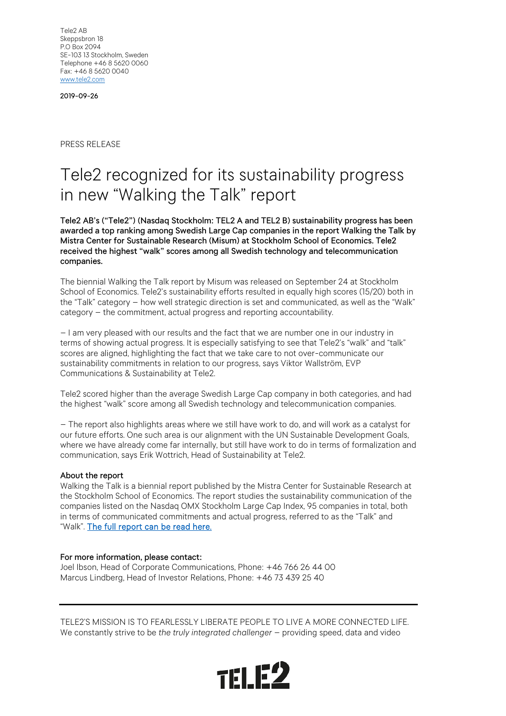Tele2 AB Skeppsbron 18 P.O Box 2094 SE-103 13 Stockholm, Sweden Telephone +46 8 5620 0060 Fax: +46 8 5620 0040 [www.tele2.com](http://www.tele2.com/)

2019-09-26

PRESS RELEASE

## Tele2 recognized for its sustainability progress in new "Walking the Talk" report

Tele2 AB's ("Tele2") (Nasdaq Stockholm: TEL2 A and TEL2 B) sustainability progress has been awarded a top ranking among Swedish Large Cap companies in the report Walking the Talk by Mistra Center for Sustainable Research (Misum) at Stockholm School of Economics. Tele2 received the highest "walk" scores among all Swedish technology and telecommunication companies.

The biennial Walking the Talk report by Misum was released on September 24 at Stockholm School of Economics. Tele2's sustainability efforts resulted in equally high scores (15/20) both in the "Talk" category – how well strategic direction is set and communicated, as well as the "Walk" category – the commitment, actual progress and reporting accountability.

– I am very pleased with our results and the fact that we are number one in our industry in terms of showing actual progress. It is especially satisfying to see that Tele2's "walk" and "talk" scores are aligned, highlighting the fact that we take care to not over-communicate our sustainability commitments in relation to our progress, says Viktor Wallström, EVP Communications & Sustainability at Tele2.

Tele2 scored higher than the average Swedish Large Cap company in both categories, and had the highest "walk" score among all Swedish technology and telecommunication companies.

– The report also highlights areas where we still have work to do, and will work as a catalyst for our future efforts. One such area is our alignment with the UN Sustainable Development Goals, where we have already come far internally, but still have work to do in terms of formalization and communication, says Erik Wottrich, Head of Sustainability at Tele2.

## About the report

Walking the Talk is a biennial report published by the Mistra Center for Sustainable Research at the Stockholm School of Economics. The report studies the sustainability communication of the companies listed on the Nasdaq OMX Stockholm Large Cap Index, 95 companies in total, both in terms of communicated commitments and actual progress, referred to as the "Talk" and "Walk". [The full report can be read here.](https://www.hhs.se/en/about-us/news/news-from-misum/2019/the-2019-walking-the-talk-report/)

## For more information, please contact:

Joel Ibson, Head of Corporate Communications, Phone: +46 766 26 44 00 Marcus Lindberg, Head of Investor Relations, Phone: +46 73 439 25 40

TELE2'S MISSION IS TO FEARLESSLY LIBERATE PEOPLE TO LIVE A MORE CONNECTED LIFE. We constantly strive to be *the truly integrated challenger* – providing speed, data and video